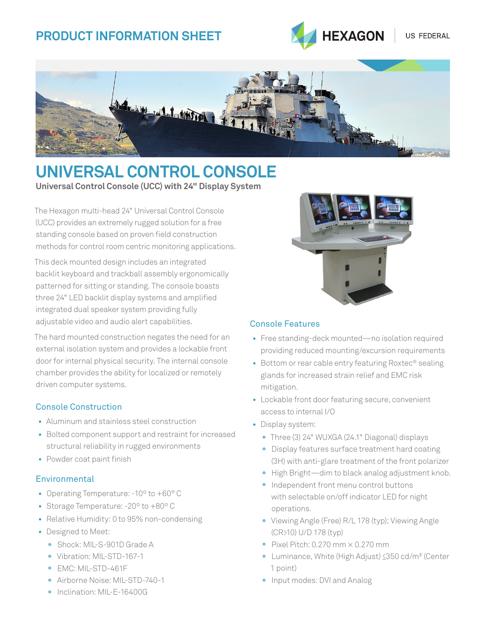# **Product Information SHEET**



US FEDERAL



# **Universal Control Console Universal Control Console (UCC) with 24" Display System**

The Hexagon multi-head 24" Universal Control Console (UCC) provides an extremely rugged solution for a free standing console based on proven field construction methods for control room centric monitoring applications.

This deck mounted design includes an integrated backlit keyboard and trackball assembly ergonomically patterned for sitting or standing. The console boasts three 24" LED backlit display systems and amplified integrated dual speaker system providing fully adjustable video and audio alert capabilities.

The hard mounted construction negates the need for an external isolation system and provides a lockable front door for internal physical security. The internal console chamber provides the ability for localized or remotely driven computer systems.

### Console Construction

- Aluminum and stainless steel construction
- Bolted component support and restraint for increased structural reliability in rugged environments
- Powder coat paint finish

### **Environmental**

- Operating Temperature: -10º to +60° C
- Storage Temperature: -20º to +80º C
- Relative Humidity: 0 to 95% non-condensing
- Designed to Meet:
	- **°** Shock: MIL-S-901D Grade A
	- **°** Vibration: MIL-STD-167-1
	- **°** EMC: MIL-STD-461F
	- **°** Airborne Noise: MIL-STD-740-1
	- **°** Inclination: MIL-E-16400G



#### Console Features

- Free standing-deck mounted—no isolation required providing reduced mounting/excursion requirements
- Bottom or rear cable entry featuring Roxtec® sealing glands for increased strain relief and EMC risk mitigation.
- Lockable front door featuring secure, convenient access to internal I/O
- Display system:
	- **°** Three (3) 24" WUXGA (24.1" Diagonal) displays
	- **°** Display features surface treatment hard coating (3H) with anti-glare treatment of the front polarizer
	- **°** High Bright—dim to black analog adjustment knob.
	- **°** Independent front menu control buttons with selectable on/off indicator LED for night operations.
	- **°** Viewing Angle (Free) R/L 178 (typ); Viewing Angle (CR>10) U/D 178 (typ)
	- **°** Pixel Pitch: 0.270 mm × 0.270 mm
	- **°** Luminance, White (High Adjust) <350 cd/m² (Center 1 point)
	- **°** Input modes: DVI and Analog